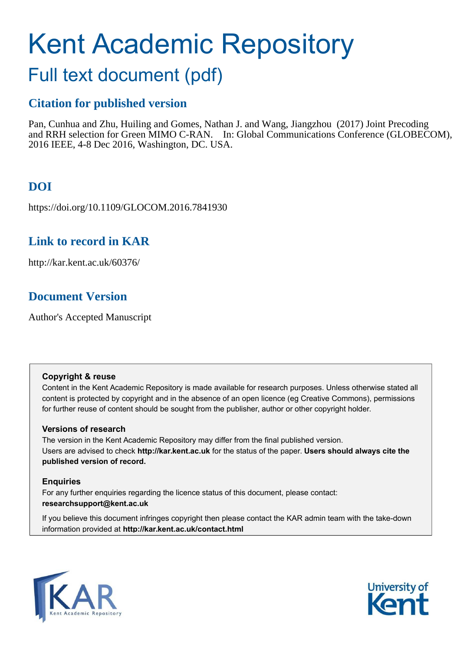# Kent Academic Repository

# Full text document (pdf)

## **Citation for published version**

Pan, Cunhua and Zhu, Huiling and Gomes, Nathan J. and Wang, Jiangzhou (2017) Joint Precoding and RRH selection for Green MIMO C-RAN. In: Global Communications Conference (GLOBECOM), 2016 IEEE, 4-8 Dec 2016, Washington, DC. USA.

# **DOI**

https://doi.org/10.1109/GLOCOM.2016.7841930

### **Link to record in KAR**

http://kar.kent.ac.uk/60376/

### **Document Version**

Author's Accepted Manuscript

#### **Copyright & reuse**

Content in the Kent Academic Repository is made available for research purposes. Unless otherwise stated all content is protected by copyright and in the absence of an open licence (eg Creative Commons), permissions for further reuse of content should be sought from the publisher, author or other copyright holder.

#### **Versions of research**

The version in the Kent Academic Repository may differ from the final published version. Users are advised to check **http://kar.kent.ac.uk** for the status of the paper. **Users should always cite the published version of record.**

#### **Enquiries**

For any further enquiries regarding the licence status of this document, please contact: **researchsupport@kent.ac.uk**

If you believe this document infringes copyright then please contact the KAR admin team with the take-down information provided at **http://kar.kent.ac.uk/contact.html**



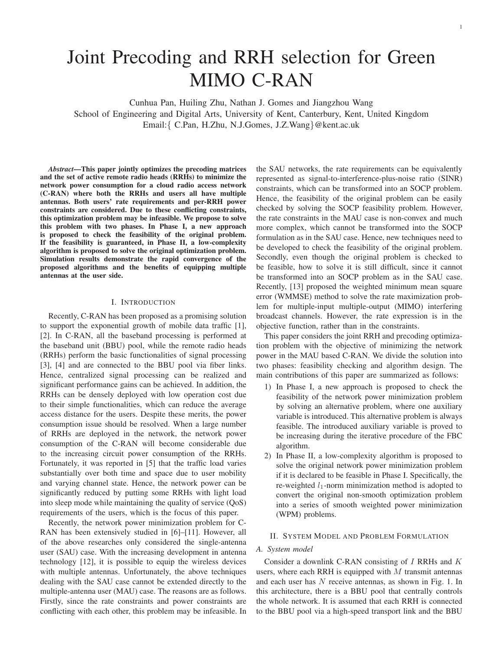# Joint Precoding and RRH selection for Green MIMO C-RAN

Cunhua Pan, Huiling Zhu, Nathan J. Gomes and Jiangzhou Wang School of Engineering and Digital Arts, University of Kent, Canterbury, Kent, United Kingdom Email:{ C.Pan, H.Zhu, N.J.Gomes, J.Z.Wang}@kent.ac.uk

*Abstract***—This paper jointly optimizes the precoding matrices and the set of active remote radio heads (RRHs) to minimize the network power consumption for a cloud radio access network (C-RAN) where both the RRHs and users all have multiple antennas. Both users' rate requirements and per-RRH power constraints are considered. Due to these conflicting constraints, this optimization problem may be infeasible. We propose to solve this problem with two phases. In Phase I, a new approach is proposed to check the feasibility of the original problem. If the feasibility is guaranteed, in Phase II, a low-complexity algorithm is proposed to solve the original optimization problem. Simulation results demonstrate the rapid convergence of the proposed algorithms and the benefits of equipping multiple antennas at the user side.**

#### I. INTRODUCTION

Recently, C-RAN has been proposed as a promising solution to support the exponential growth of mobile data traffic [1], [2]. In C-RAN, all the baseband processing is performed at the baseband unit (BBU) pool, while the remote radio heads (RRHs) perform the basic functionalities of signal processing [3], [4] and are connected to the BBU pool via fiber links. Hence, centralized signal processing can be realized and significant performance gains can be achieved. In addition, the RRHs can be densely deployed with low operation cost due to their simple functionalities, which can reduce the average access distance for the users. Despite these merits, the power consumption issue should be resolved. When a large number of RRHs are deployed in the network, the network power consumption of the C-RAN will become considerable due to the increasing circuit power consumption of the RRHs. Fortunately, it was reported in [5] that the traffic load varies substantially over both time and space due to user mobility and varying channel state. Hence, the network power can be significantly reduced by putting some RRHs with light load into sleep mode while maintaining the quality of service (QoS) requirements of the users, which is the focus of this paper.

Recently, the network power minimization problem for C-RAN has been extensively studied in [6]–[11]. However, all of the above researches only considered the single-antenna user (SAU) case. With the increasing development in antenna technology [12], it is possible to equip the wireless devices with multiple antennas. Unfortunately, the above techniques dealing with the SAU case cannot be extended directly to the multiple-antenna user (MAU) case. The reasons are as follows. Firstly, since the rate constraints and power constraints are conflicting with each other, this problem may be infeasible. In the SAU networks, the rate requirements can be equivalently represented as signal-to-interference-plus-noise ratio (SINR) constraints, which can be transformed into an SOCP problem. Hence, the feasibility of the original problem can be easily checked by solving the SOCP feasibility problem. However, the rate constraints in the MAU case is non-convex and much more complex, which cannot be transformed into the SOCP formulation as in the SAU case. Hence, new techniques need to be developed to check the feasibility of the original problem. Secondly, even though the original problem is checked to be feasible, how to solve it is still difficult, since it cannot be transformed into an SOCP problem as in the SAU case. Recently, [13] proposed the weighted minimum mean square error (WMMSE) method to solve the rate maximization problem for multiple-input multiple-output (MIMO) interfering broadcast channels. However, the rate expression is in the objective function, rather than in the constraints.

This paper considers the joint RRH and precoding optimization problem with the objective of minimizing the network power in the MAU based C-RAN. We divide the solution into two phases: feasibility checking and algorithm design. The main contributions of this paper are summarized as follows:

- 1) In Phase I, a new approach is proposed to check the feasibility of the network power minimization problem by solving an alternative problem, where one auxiliary variable is introduced. This alternative problem is always feasible. The introduced auxiliary variable is proved to be increasing during the iterative procedure of the FBC algorithm.
- 2) In Phase II, a low-complexity algorithm is proposed to solve the original network power minimization problem if it is declared to be feasible in Phase I. Specifically, the re-weighted  $l_1$ -norm minimization method is adopted to convert the original non-smooth optimization problem into a series of smooth weighted power minimization (WPM) problems.

#### II. SYSTEM MODEL AND PROBLEM FORMULATION

#### *A. System model*

Consider a downlink C-RAN consisting of  $I$  RRHs and  $K$ users, where each RRH is equipped with  $M$  transmit antennas and each user has  $N$  receive antennas, as shown in Fig. 1. In this architecture, there is a BBU pool that centrally controls the whole network. It is assumed that each RRH is connected to the BBU pool via a high-speed transport link and the BBU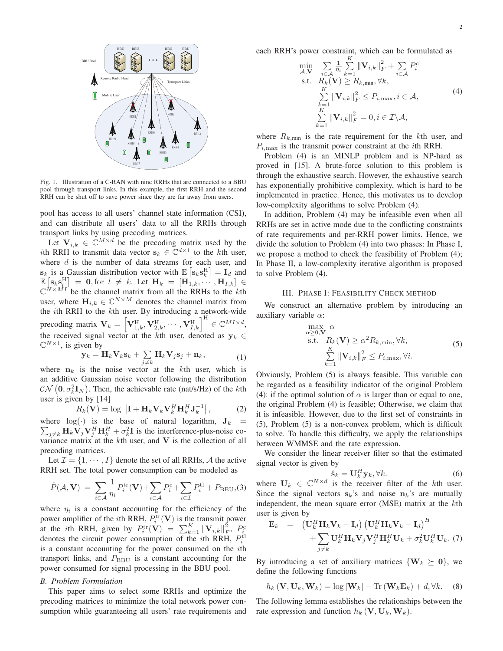

Fig. 1. Illustration of a C-RAN with nine RRHs that are connected to a BBU pool through transport links. In this example, the first RRH and the second RRH can be shut off to save power since they are far away from users.

pool has access to all users' channel state information (CSI), and can distribute all users' data to all the RRHs through transport links by using precoding matrices.

Let  $V_{i,k} \in \mathbb{C}^{M \times d}$  be the precoding matrix used by the ith RRH to transmit data vector  $\mathbf{s}_k \in \mathbb{C}^{d \times 1}$  to the kth user, where  $d$  is the number of data streams for each user, and  $\mathbf{s}_k$  is a Gaussian distribution vector with  $\mathbb{E}\left[\mathbf{s}_k \mathbf{s}_k^{\text{H}}\right] = \mathbf{I}_d$  and  $\mathbb{E} \left[ \mathbf{s}_k \mathbf{s}_l^H \right] = \mathbf{0}$ , for  $l \neq k$ . Let  $\mathbf{H}_k = [\mathbf{H}_{1,k}, \cdots, \mathbf{H}_{I,k}] \in \mathbb{C}^{N \times MI}$  be the channel matrix from all the RRHs to the *k*th user, where  $\mathbf{H}_{i,k} \in \mathbb{C}^{N \times M}$  denotes the channel matrix from the  $i$ th RRH to the  $k$ th user. By introducing a network-wide precoding matrix  $\mathbf{V}_k = \left[\mathbf{V}_{1,k}^{\text{H}}, \mathbf{V}_{2,k}^{\text{H}}, \cdots, \mathbf{V}_{I,k}^{\text{H}}\right]^{\text{H}} \in \mathbb{C}^{MI \times d}$ , the received signal vector at the kth user, denoted as  $y_k \in$  $\mathbb{C}^{N \times 1}$ , is given by

$$
\mathbf{y}_k = \mathbf{H}_k \mathbf{V}_k \mathbf{s}_k + \sum_{j \neq k} \mathbf{H}_k \mathbf{V}_j \mathbf{s}_j + \mathbf{n}_k, \tag{1}
$$

where  $n_k$  is the noise vector at the k<sup>th</sup> user, which is an additive Gaussian noise vector following the distribution  $\mathcal{CN}(\mathbf{0}, \sigma_k^2 \mathbf{I}_N)$ . Then, the achievable rate (nat/s/Hz) of the *k*th user is given by [14]

$$
R_k(\mathbf{V}) = \log |\mathbf{I} + \mathbf{H}_k \mathbf{V}_k \mathbf{V}_k^H \mathbf{H}_k^H \mathbf{J}_k^{-1}|,
$$
 (2)

 $\sum_{j \neq k} \mathbf{H}_k \mathbf{V}_j \mathbf{V}_j^H \mathbf{H}_k^H + \sigma_k^2 \mathbf{I}$  is the interference-plus-noise cowhere  $log(·)$  is the base of natural logarithm,  $J_k$  = variance matrix at the  $k$ th user, and  $V$  is the collection of all precoding matrices.

Let  $\mathcal{I} = \{1, \dots, I\}$  denote the set of all RRHs, A the active RRH set. The total power consumption can be modeled as

$$
\hat{P}(\mathcal{A}, \mathbf{V}) = \sum_{i \in \mathcal{A}} \frac{1}{\eta_i} P_i^{\text{tr}}(\mathbf{V}) + \sum_{i \in \mathcal{A}} P_i^{\text{c}} + \sum_{i \in \mathcal{I}} P_i^{\text{tl}} + P_{\text{BBU}}(3)
$$

where  $\eta_i$  is a constant accounting for the efficiency of the power amplifier of the *i*th RRH,  $P_i^{\text{tr}}(\mathbf{V})$  is the transmit power at the *i*th RRH, given by  $P_i^{\text{tr}}(\mathbf{V}) = \sum_{k=1}^K \|\mathbf{V}_{i,k}\|_F^2$  $^{2}_{F},~P^{c}_{i}$ denotes the circuit power consumption of the *i*th RRH,  $P_i^{\text{tl}}$ is a constant accounting for the power consumed on the *i*th transport links, and  $P_{\text{BBU}}$  is a constant accounting for the power consumed for signal processing in the BBU pool.

#### *B. Problem Formulation*

This paper aims to select some RRHs and optimize the precoding matrices to minimize the total network power consumption while guaranteeing all users' rate requirements and each RRH's power constraint, which can be formulated as

$$
\min_{\mathcal{A}, \mathbf{V}} \sum_{i \in \mathcal{A}} \frac{1}{\eta_i} \sum_{k=1}^K \|\mathbf{V}_{i,k}\|_F^2 + \sum_{i \in \mathcal{A}} P_i^c\n\n\text{s.t.} \quad R_k(\mathbf{V}) \ge R_{k,\min}, \forall k,\n\n\sum_{k=1}^K \|\mathbf{V}_{i,k}\|_F^2 \le P_{i,\max}, i \in \mathcal{A},\n\n\sum_{k=1}^K \|\mathbf{V}_{i,k}\|_F^2 = 0, i \in \mathcal{I} \setminus \mathcal{A},
$$
\n(4)

where  $R_{k,\text{min}}$  is the rate requirement for the kth user, and  $P_{i,\text{max}}$  is the transmit power constraint at the *i*th RRH.

Problem (4) is an MINLP problem and is NP-hard as proved in [15]. A brute-force solution to this problem is through the exhaustive search. However, the exhaustive search has exponentially prohibitive complexity, which is hard to be implemented in practice. Hence, this motivates us to develop low-complexity algorithms to solve Problem (4).

In addition, Problem (4) may be infeasible even when all RRHs are set in active mode due to the conflicting constraints of rate requirements and per-RRH power limits. Hence, we divide the solution to Problem (4) into two phases: In Phase I, we propose a method to check the feasibility of Problem (4); In Phase II, a low-complexity iterative algorithm is proposed to solve Problem (4).

#### III. PHASE I: FEASIBILITY CHECK METHOD

We construct an alternative problem by introducing an auxiliary variable  $\alpha$ :

$$
\max_{\alpha \geq 0,\mathbf{V}} \alpha
$$
\ns.t.  $R_k(\mathbf{V}) \geq \alpha^2 R_{k,\min}, \forall k,$   
\n
$$
\sum_{k=1}^K \|\mathbf{V}_{i,k}\|_F^2 \leq P_{i,\max}, \forall i.
$$
\n(5)

Obviously, Problem (5) is always feasible. This variable can be regarded as a feasibility indicator of the original Problem (4): if the optimal solution of  $\alpha$  is larger than or equal to one, the original Problem (4) is feasible; Otherwise, we claim that it is infeasible. However, due to the first set of constraints in (5), Problem (5) is a non-convex problem, which is difficult to solve. To handle this difficulty, we apply the relationships between WMMSE and the rate expression.

We consider the linear receiver filter so that the estimated signal vector is given by

$$
\hat{\mathbf{s}}_k = \mathbf{U}_k^H \mathbf{y}_k, \forall k. \tag{6}
$$

where  $U_k \in \mathbb{C}^{N \times d}$  is the receiver filter of the kth user. Since the signal vectors  $s_k$ 's and noise  $n_k$ 's are mutually independent, the mean square error  $(MSE)$  matrix at the  $k$ th user is given by

$$
\mathbf{E}_{k} = \left(\mathbf{U}_{k}^{H}\mathbf{H}_{k}\mathbf{V}_{k} - \mathbf{I}_{d}\right)\left(\mathbf{U}_{k}^{H}\mathbf{H}_{k}\mathbf{V}_{k} - \mathbf{I}_{d}\right)^{H} + \sum_{j \neq k} \mathbf{U}_{k}^{H}\mathbf{H}_{k}\mathbf{V}_{j}\mathbf{V}_{j}^{H}\mathbf{H}_{k}^{H}\mathbf{U}_{k} + \sigma_{k}^{2}\mathbf{U}_{k}^{H}\mathbf{U}_{k}.
$$
 (7)

By introducing a set of auxiliary matrices  $\{W_k \succeq 0\}$ , we define the following functions

$$
h_k(\mathbf{V}, \mathbf{U}_k, \mathbf{W}_k) = \log |\mathbf{W}_k| - \text{Tr}(\mathbf{W}_k \mathbf{E}_k) + d, \forall k. \quad (8)
$$

The following lemma establishes the relationships between the rate expression and function  $h_k(\mathbf{V}, \mathbf{U}_k, \mathbf{W}_k)$ .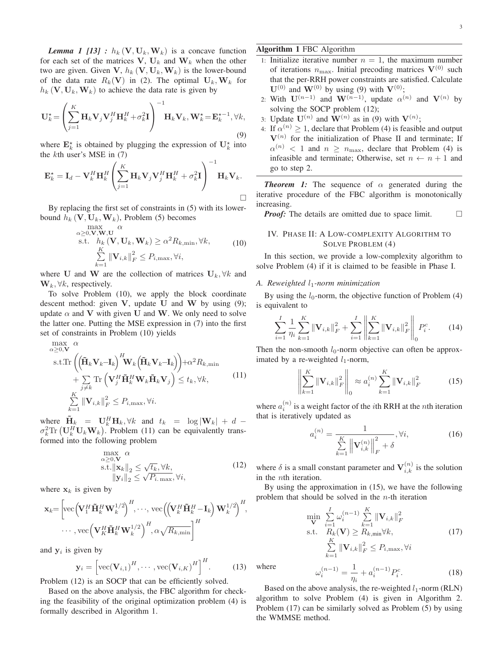*Lemma 1 [13] :*  $h_k(\mathbf{V}, \mathbf{U}_k, \mathbf{W}_k)$  is a concave function for each set of the matrices  $V, U_k$  and  $W_k$  when the other two are given. Given V,  $h_k$  (V,  $U_k$ , W<sub>k</sub>) is the lower-bound of the data rate  $R_k(\mathbf{V})$  in (2). The optimal  $\mathbf{U}_k,\mathbf{W}_k$  for  $h_k(\mathbf{V}, \mathbf{U}_k, \mathbf{W}_k)$  to achieve the data rate is given by

$$
\mathbf{U}_{k}^{\star} = \left(\sum_{j=1}^{K} \mathbf{H}_{k} \mathbf{V}_{j} \mathbf{V}_{j}^{H} \mathbf{H}_{k}^{H} + \sigma_{k}^{2} \mathbf{I}\right)^{-1} \mathbf{H}_{k} \mathbf{V}_{k}, \mathbf{W}_{k}^{\star} = \mathbf{E}_{k}^{\star -1}, \forall k,
$$
\n(9)

where  $\mathbf{E}_k^*$  is obtained by plugging the expression of  $\mathbf{U}_k^*$  into the  $k$ th user's MSE in  $(7)$ 

$$
\mathbf{E}_{k}^{\star} = \mathbf{I}_{d} - \mathbf{V}_{k}^{H} \mathbf{H}_{k}^{H} \left( \sum_{j=1}^{K} \mathbf{H}_{k} \mathbf{V}_{j} \mathbf{V}_{j}^{H} \mathbf{H}_{k}^{H} + \sigma_{k}^{2} \mathbf{I} \right)^{-1} \mathbf{H}_{k} \mathbf{V}_{k}.
$$

By replacing the first set of constraints in (5) with its lowerbound  $h_k$  (V,  $\mathbf{U}_k$ , W<sub>k</sub>), Problem (5) becomes

$$
\max_{\alpha \geq 0, \mathbf{V}, \mathbf{W}, \mathbf{U}} \alpha
$$
\ns.t.  $h_k(\mathbf{V}, \mathbf{U}_k, \mathbf{W}_k) \geq \alpha^2 R_{k, \min}, \forall k,$   
\n
$$
\sum_{k=1}^K \|\mathbf{V}_{i,k}\|_F^2 \leq P_{i, \max}, \forall i,
$$
\n(10)

where U and W are the collection of matrices  $U_k$ ,  $\forall k$  and  $\mathbf{W}_k, \forall k$ , respectively.

To solve Problem (10), we apply the block coordinate descent method: given  $V$ , update  $U$  and  $W$  by using (9); update  $\alpha$  and V with given U and W. We only need to solve the latter one. Putting the MSE expression in (7) into the first set of constraints in Problem (10) yields

$$
\max_{\alpha \geq 0, \mathbf{V}} \alpha
$$
\n
$$
\text{s.t.} \text{Tr}\left(\left(\tilde{\mathbf{H}}_{k}\mathbf{V}_{k}-\mathbf{I}_{k}\right)^{H}\mathbf{W}_{k}\left(\tilde{\mathbf{H}}_{k}\mathbf{V}_{k}-\mathbf{I}_{k}\right)\right)+\alpha^{2} R_{k,\text{min}}
$$
\n
$$
+\sum_{j \neq k} \text{Tr}\left(\mathbf{V}_{j}^{H}\tilde{\mathbf{H}}_{k}^{H}\mathbf{W}_{k}\tilde{\mathbf{H}}_{k}\mathbf{V}_{j}\right) \leq t_{k}, \forall k,
$$
\n
$$
\sum_{k=1}^{K} \|\mathbf{V}_{i,k}\|_{F}^{2} \leq P_{i,\text{max}}, \forall i.
$$
\n(11)

where  $\tilde{\mathbf{H}}_k = \mathbf{U}_k^H \mathbf{H}_k, \forall k$  and  $t_k = \log|\mathbf{W}_k| + d \sigma_k^2 \text{Tr} \left( \mathbf{U}_k^H \mathbf{U}_k \mathbf{W}_k \right)$ . Problem (11) can be equivalently transformed into the following problem

$$
\max_{\alpha \geq 0, \mathbf{V}} \alpha
$$
\ns.t.  $\|\mathbf{x}_k\|_2 \leq \sqrt{t_k}, \forall k$ ,  
\n $\| \mathbf{y}_i \|_2 \leq \sqrt{P_{i,\max}}, \forall i$ , (12)

where  $x_k$  is given by

$$
\mathbf{x}_{k} = \left[ \text{vec} \left( \mathbf{V}_{1}^{H} \tilde{\mathbf{H}}_{k}^{H} \mathbf{W}_{k}^{1/2} \right)^{H}, \dots, \text{vec} \left( \left( \mathbf{V}_{k}^{H} \tilde{\mathbf{H}}_{k}^{H} - \mathbf{I}_{k} \right) \mathbf{W}_{k}^{1/2} \right)^{H}, \dots, \text{vec} \left( \mathbf{V}_{K}^{H} \tilde{\mathbf{H}}_{k}^{H} \mathbf{W}_{k}^{1/2} \right)^{H}, \alpha \sqrt{R_{k, \text{min}}} \right]^{H}
$$

and  $y_i$  is given by

$$
\mathbf{y}_{i} = \left[\text{vec}(\mathbf{V}_{i,1})^{H}, \cdots, \text{vec}(\mathbf{V}_{i,K})^{H}\right]^{H}.
$$
 (13)

Problem (12) is an SOCP that can be efficiently solved.

Based on the above analysis, the FBC algorithm for checking the feasibility of the original optimization problem (4) is formally described in Algorithm 1.

- 1: Initialize iterative number  $n = 1$ , the maximum number of iterations  $n_{\text{max}}$ . Initial precoding matrices  $V^{(0)}$  such that the per-RRH power constraints are satisfied. Calculate  $\mathbf{U}^{(0)}$  and  $\mathbf{W}^{(0)}$  by using (9) with  $\mathbf{V}^{(0)}$ ;
- 2: With  $\mathbf{U}^{(n-1)}$  and  $\mathbf{W}^{(n-1)}$ , update  $\alpha^{(n)}$  and  $\mathbf{V}^{(n)}$  by solving the SOCP problem  $(12)$ ;
- 3: Update  $\mathbf{U}^{(n)}$  and  $\mathbf{W}^{(n)}$  as in (9) with  $\mathbf{V}^{(n)}$ ;
- 4: If  $\alpha^{(n)} \geq 1$ , declare that Problem (4) is feasible and output  $V^{(n)}$  for the initialization of Phase II and terminate; If  $\alpha^{(n)}$  < 1 and  $n \geq n_{\text{max}}$ , declare that Problem (4) is infeasible and terminate; Otherwise, set  $n \leftarrow n + 1$  and go to step 2.

**Theorem 1:** The sequence of  $\alpha$  generated during the iterative procedure of the FBC algorithm is monotonically increasing.

*Proof:* The details are omitted due to space limit.  $\Box$ 

#### IV. PHASE II: A LOW-COMPLEXITY ALGORITHM TO SOLVE PROBLEM (4)

In this section, we provide a low-complexity algorithm to solve Problem (4) if it is claimed to be feasible in Phase I.

#### *A. Reweighted* 1*-norm minimization*

By using the  $l_0$ -norm, the objective function of Problem  $(4)$ is equivalent to

$$
\sum_{i=1}^{I} \frac{1}{\eta_i} \sum_{k=1}^{K} \|\mathbf{V}_{i,k}\|_{F}^{2} + \sum_{i=1}^{I} \left\| \sum_{k=1}^{K} \|\mathbf{V}_{i,k}\|_{F}^{2} \right\|_{0} P_{i}^{c}.
$$
 (14)

Then the non-smooth  $l_0$ -norm objective can often be approximated by a re-weighted  $l_1$ -norm,

$$
\left\| \sum_{k=1}^{K} \|\mathbf{V}_{i,k}\|_{F}^{2} \right\|_{0} \approx a_{i}^{(n)} \sum_{k=1}^{K} \|\mathbf{V}_{i,k}\|_{F}^{2}
$$
 (15)

where  $a_i^{(n)}$  is a weight factor of the *i*th RRH at the *n*th iteration that is iteratively updated as

$$
a_i^{(n)} = \frac{1}{\sum\limits_{k=1}^K \left\| \mathbf{V}_{i,k}^{(n)} \right\|_F^2 + \delta}, \forall i,
$$
 (16)

where  $\delta$  is a small constant parameter and  $V_{i,k}^{(n)}$  is the solution in the *th iteration.* 

By using the approximation in (15), we have the following problem that should be solved in the  $n$ -th iteration

$$
\min_{\mathbf{V}} \sum_{i=1}^{I} \omega_i^{(n-1)} \sum_{k=1}^{K} ||\mathbf{V}_{i,k}||_F^2
$$
\ns.t.

\n
$$
R_k(\mathbf{V}) \ge R_{k,\min} \forall k,
$$
\n
$$
\sum_{k=1}^{K} ||\mathbf{V}_{i,k}||_F^2 \le P_{i,\max}, \forall i
$$
\n
$$
\omega_i^{(n-1)} = \frac{1}{n} + a_i^{(n-1)} P_i^c.
$$
\n(18)

where

the WMMSE method.

 $\eta_i$  $\dot{i}$ Based on the above analysis, the re-weighted  $l_1$ -norm (RLN) algorithm to solve Problem (4) is given in Algorithm 2.

Problem (17) can be similarly solved as Problem (5) by using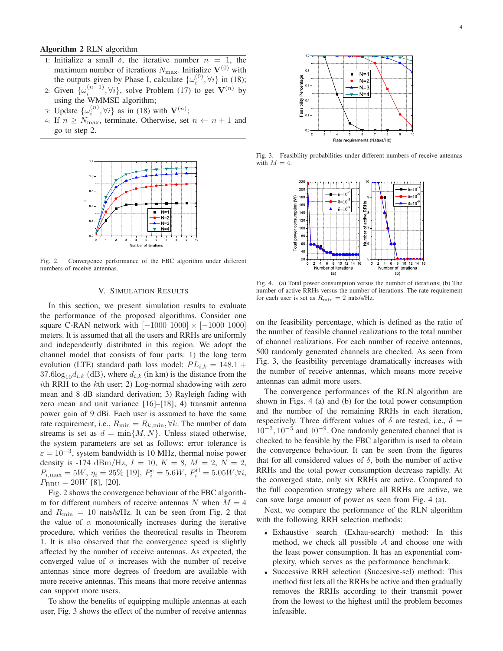**Algorithm 2** RLN algorithm

- 1: Initialize a small  $\delta$ , the iterative number  $n = 1$ , the maximum number of iterations  $N_{\text{max}}$ . Initialize  $\mathbf{V}^{(0)}$  with the outputs given by Phase I, calculate  $\{\omega_i^{(0)}, \forall i\}$  in (18);
- 2: Given  $\{\omega_i^{(n-1)}, \forall i\}$ , solve Problem (17) to get  $V^{(n)}$  by using the WMMSE algorithm;
- 3: Update  $\{\omega_i^{(n)}, \forall i\}$  as in (18) with  $\mathbf{V}^{(n)}$ ;
- 4: If  $n \geq N_{\text{max}}$ , terminate. Otherwise, set  $n \leftarrow n + 1$  and go to step 2.



Fig. 2. Convergence performance of the FBC algorithm under different numbers of receive antennas.

#### V. SIMULATION RESULTS

In this section, we present simulation results to evaluate the performance of the proposed algorithms. Consider one square C-RAN network with  $[-1000 1000] \times [-1000 1000]$ meters. It is assumed that all the users and RRHs are uniformly and independently distributed in this region. We adopt the channel model that consists of four parts: 1) the long term evolution (LTE) standard path loss model:  $PL_{i,k} = 148.1 +$  $37.6 \log_{10} d_{i,k}$  (dB), where  $d_{i,k}$  (in km) is the distance from the ith RRH to the  $k$ th user; 2) Log-normal shadowing with zero mean and 8 dB standard derivation; 3) Rayleigh fading with zero mean and unit variance [16]–[18]; 4) transmit antenna power gain of 9 dBi. Each user is assumed to have the same rate requirement, i.e.,  $R_{\min} = R_{k,\min}, \forall k$ . The number of data streams is set as  $d = \min\{M, N\}$ . Unless stated otherwise, the system parameters are set as follows: error tolerance is  $\varepsilon = 10^{-3}$ , system bandwidth is 10 MHz, thermal noise power density is -174 dBm/Hz,  $I = 10$ ,  $K = 8$ ,  $M = 2$ ,  $N = 2$ ,  $P_{i,\text{max}} = 5W, \eta_i = 25\%$  [19],  $P_i^{\text{c}} = 5.6W, P_i^{\text{tl}} = 5.05W, \forall i$ ,  $P_{\rm BBU} = 20W$  [8], [20].

Fig. 2 shows the convergence behaviour of the FBC algorithm for different numbers of receive antennas N when  $M = 4$ and  $R_{\text{min}} = 10$  nats/s/Hz. It can be seen from Fig. 2 that the value of  $\alpha$  monotonically increases during the iterative procedure, which verifies the theoretical results in Theorem 1. It is also observed that the convergence speed is slightly affected by the number of receive antennas. As expected, the converged value of  $\alpha$  increases with the number of receive antennas since more degrees of freedom are available with more receive antennas. This means that more receive antennas can support more users.

To show the benefits of equipping multiple antennas at each user, Fig. 3 shows the effect of the number of receive antennas



Fig. 3. Feasibility probabilities under different numbers of receive antennas with  $M = 4$ .



Fig. 4. (a) Total power consumption versus the number of iterations; (b) The number of active RRHs versus the number of iterations. The rate requirement for each user is set as  $R_{\text{min}} = 2$  nats/s/Hz.

on the feasibility percentage, which is defined as the ratio of the number of feasible channel realizations to the total number of channel realizations. For each number of receive antennas, 500 randomly generated channels are checked. As seen from Fig. 3, the feasibility percentage dramatically increases with the number of receive antennas, which means more receive antennas can admit more users.

The convergence performances of the RLN algorithm are shown in Figs. 4 (a) and (b) for the total power consumption and the number of the remaining RRHs in each iteration, respectively. Three different values of  $\delta$  are tested, i.e.,  $\delta =$  $10^{-3}$ ,  $10^{-5}$  and  $10^{-9}$ . One randomly generated channel that is checked to be feasible by the FBC algorithm is used to obtain the convergence behaviour. It can be seen from the figures that for all considered values of  $\delta$ , both the number of active RRHs and the total power consumption decrease rapidly. At the converged state, only six RRHs are active. Compared to the full cooperation strategy where all RRHs are active, we can save large amount of power as seen from Fig. 4 (a).

Next, we compare the performance of the RLN algorithm with the following RRH selection methods:

- <sup>∙</sup> Exhaustive search (Exhau-search) method: In this method, we check all possible  $A$  and choose one with the least power consumption. It has an exponential complexity, which serves as the performance benchmark.
- <sup>∙</sup> Successive RRH selection (Succesive-sel) method: This method first lets all the RRHs be active and then gradually removes the RRHs according to their transmit power from the lowest to the highest until the problem becomes infeasible.